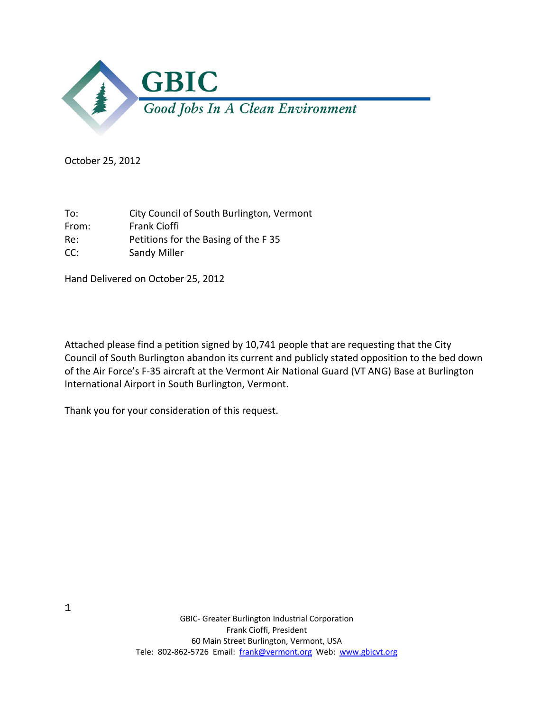

October 25, 2012

To: City Council of South Burlington, Vermont From: Frank Cioffi Re: Petitions for the Basing of the F 35 CC: Sandy Miller

Hand Delivered on October 25, 2012

Attached please find a petition signed by 10,741 people that are requesting that the City Council of South Burlington abandon its current and publicly stated opposition to the bed down of the Air Force's F‐35 aircraft at the Vermont Air National Guard (VT ANG) Base at Burlington International Airport in South Burlington, Vermont.

Thank you for your consideration of this request.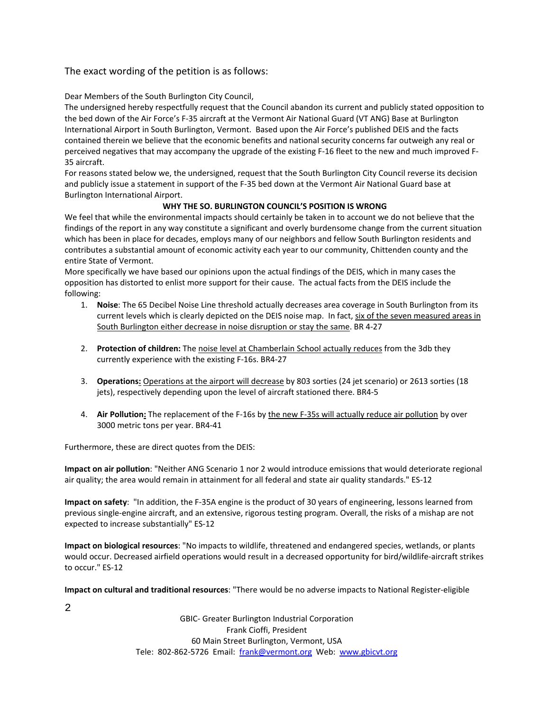## The exact wording of the petition is as follows:

Dear Members of the South Burlington City Council,

The undersigned hereby respectfully request that the Council abandon its current and publicly stated opposition to the bed down of the Air Force's F‐35 aircraft at the Vermont Air National Guard (VT ANG) Base at Burlington International Airport in South Burlington, Vermont. Based upon the Air Force's published DEIS and the facts contained therein we believe that the economic benefits and national security concerns far outweigh any real or perceived negatives that may accompany the upgrade of the existing F‐16 fleet to the new and much improved F‐ 35 aircraft.

For reasons stated below we, the undersigned, request that the South Burlington City Council reverse its decision and publicly issue a statement in support of the F‐35 bed down at the Vermont Air National Guard base at Burlington International Airport.

## **WHY THE SO. BURLINGTON COUNCIL'S POSITION IS WRONG**

We feel that while the environmental impacts should certainly be taken in to account we do not believe that the findings of the report in any way constitute a significant and overly burdensome change from the current situation which has been in place for decades, employs many of our neighbors and fellow South Burlington residents and contributes a substantial amount of economic activity each year to our community, Chittenden county and the entire State of Vermont.

More specifically we have based our opinions upon the actual findings of the DEIS, which in many cases the opposition has distorted to enlist more support for their cause. The actual facts from the DEIS include the following:

- 1. **Noise**: The 65 Decibel Noise Line threshold actually decreases area coverage in South Burlington from its current levels which is clearly depicted on the DEIS noise map. In fact, six of the seven measured areas in South Burlington either decrease in noise disruption or stay the same. BR 4‐27
- 2. **Protection of children:** The noise level at Chamberlain School actually reduces from the 3db they currently experience with the existing F‐16s. BR4‐27
- 3. **Operations:** Operations at the airport will decrease by 803 sorties (24 jet scenario) or 2613 sorties (18 jets), respectively depending upon the level of aircraft stationed there. BR4‐5
- 4. Air Pollution: The replacement of the F-16s by the new F-35s will actually reduce air pollution by over 3000 metric tons per year. BR4‐41

Furthermore, these are direct quotes from the DEIS:

**Impact on air pollution**: "Neither ANG Scenario 1 nor 2 would introduce emissions that would deteriorate regional air quality; the area would remain in attainment for all federal and state air quality standards." ES‐12

**Impact on safety**: "In addition, the F‐35A engine is the product of 30 years of engineering, lessons learned from previous single‐engine aircraft, and an extensive, rigorous testing program. Overall, the risks of a mishap are not expected to increase substantially" ES‐12

**Impact on biological resources**: "No impacts to wildlife, threatened and endangered species, wetlands, or plants would occur. Decreased airfield operations would result in a decreased opportunity for bird/wildlife-aircraft strikes to occur." ES‐12

**Impact on cultural and traditional resources**: "There would be no adverse impacts to National Register‐eligible

2

GBIC‐ Greater Burlington Industrial Corporation Frank Cioffi, President 60 Main Street Burlington, Vermont, USA Tele: 802‐862‐5726 Email: frank@vermont.org Web: www.gbicvt.org